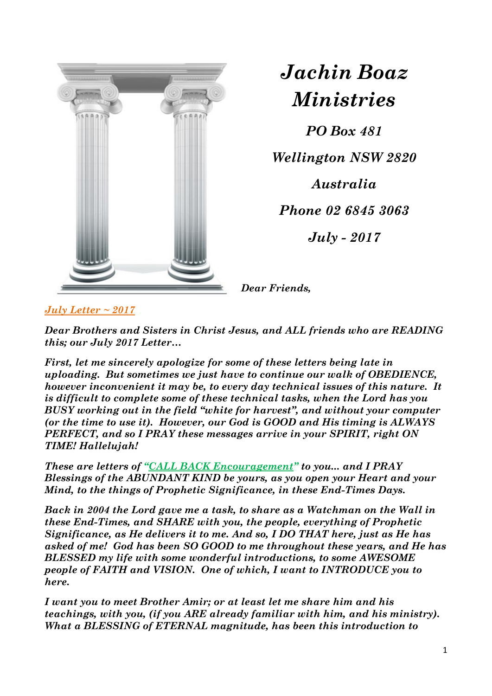

*Jachin Boaz Ministries*

*PO Box 481 Wellington NSW 2820 Australia Phone 02 6845 3063*

*July - 2017*

*Dear Friends,*

*July Letter ~ 2017*

*Dear Brothers and Sisters in Christ Jesus, and ALL friends who are READING this; our July 2017 Letter…* 

*First, let me sincerely apologize for some of these letters being late in uploading. But sometimes we just have to continue our walk of OBEDIENCE, however inconvenient it may be, to every day technical issues of this nature. It is difficult to complete some of these technical tasks, when the Lord has you BUSY working out in the field "white for harvest", and without your computer (or the time to use it). However, our God is GOOD and His timing is ALWAYS PERFECT, and so I PRAY these messages arrive in your SPIRIT, right ON TIME! Hallelujah!*

*These are letters of "CALL BACK Encouragement" to you... and I PRAY Blessings of the ABUNDANT KIND be yours, as you open your Heart and your Mind, to the things of Prophetic Significance, in these End-Times Days.*

*Back in 2004 the Lord gave me a task, to share as a Watchman on the Wall in these End-Times, and SHARE with you, the people, everything of Prophetic Significance, as He delivers it to me. And so, I DO THAT here, just as He has asked of me! God has been SO GOOD to me throughout these years, and He has BLESSED my life with some wonderful introductions, to some AWESOME people of FAITH and VISION. One of which, I want to INTRODUCE you to here.*

*I want you to meet Brother Amir; or at least let me share him and his teachings, with you, (if you ARE already familiar with him, and his ministry). What a BLESSING of ETERNAL magnitude, has been this introduction to*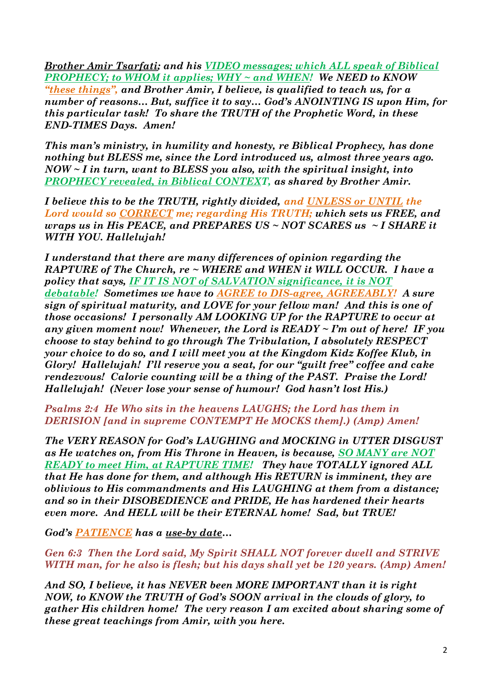*Brother Amir Tsarfati; and his VIDEO messages; which ALL speak of Biblical PROPHECY; to WHOM it applies; WHY ~ and WHEN! We NEED to KNOW "these things", and Brother Amir, I believe, is qualified to teach us, for a number of reasons… But, suffice it to say… God's ANOINTING IS upon Him, for this particular task! To share the TRUTH of the Prophetic Word, in these END-TIMES Days. Amen!*

*This man's ministry, in humility and honesty, re Biblical Prophecy, has done nothing but BLESS me, since the Lord introduced us, almost three years ago. NOW ~ I in turn, want to BLESS you also, with the spiritual insight, into PROPHECY revealed, in Biblical CONTEXT, as shared by Brother Amir.* 

*I believe this to be the TRUTH, rightly divided, and UNLESS or UNTIL the Lord would so CORRECT me; regarding His TRUTH; which sets us FREE, and wraps us in His PEACE, and PREPARES US ~ NOT SCARES us ~ I SHARE it WITH YOU. Hallelujah!* 

*I understand that there are many differences of opinion regarding the RAPTURE of The Church, re ~ WHERE and WHEN it WILL OCCUR. I have a policy that says, IF IT IS NOT of SALVATION significance, it is NOT debatable! Sometimes we have to AGREE to DIS-agree, AGREEABLY! A sure sign of spiritual maturity, and LOVE for your fellow man! And this is one of those occasions! I personally AM LOOKING UP for the RAPTURE to occur at any given moment now! Whenever, the Lord is READY ~ I'm out of here! IF you choose to stay behind to go through The Tribulation, I absolutely RESPECT your choice to do so, and I will meet you at the Kingdom Kidz Koffee Klub, in Glory! Hallelujah! I'll reserve you a seat, for our "guilt free" coffee and cake rendezvous! Calorie counting will be a thing of the PAST. Praise the Lord! Hallelujah! (Never lose your sense of humour! God hasn't lost His.)*

*Psalms 2:4 He Who sits in the heavens LAUGHS; the Lord has them in DERISION [and in supreme CONTEMPT He MOCKS them].) (Amp) Amen!*

*The VERY REASON for God's LAUGHING and MOCKING in UTTER DISGUST as He watches on, from His Throne in Heaven, is because, SO MANY are NOT READY to meet Him, at RAPTURE TIME! They have TOTALLY ignored ALL that He has done for them, and although His RETURN is imminent, they are oblivious to His commandments and His LAUGHING at them from a distance; and so in their DISOBEDIENCE and PRIDE, He has hardened their hearts even more. And HELL will be their ETERNAL home! Sad, but TRUE!*

*God's PATIENCE has a use-by date…*

*Gen 6:3 Then the Lord said, My Spirit SHALL NOT forever dwell and STRIVE WITH man, for he also is flesh; but his days shall yet be 120 years. (Amp) Amen!*

*And SO, I believe, it has NEVER been MORE IMPORTANT than it is right NOW, to KNOW the TRUTH of God's SOON arrival in the clouds of glory, to gather His children home! The very reason I am excited about sharing some of these great teachings from Amir, with you here.*